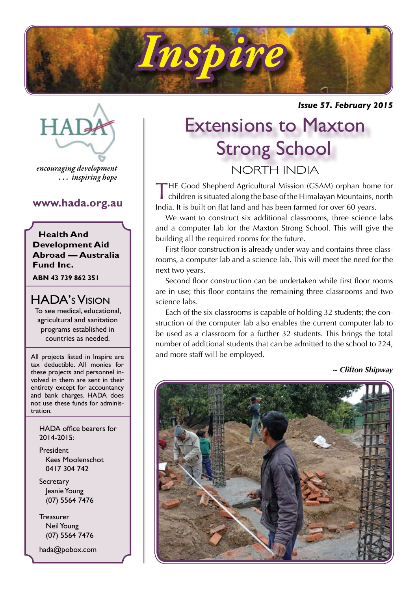

*Issue 57. February 2015*



*encouraging development . . . inspiring hope*

## **www.hada.org.au**

**Health And Development Aid Abroad — Australia Fund Inc.**

**ABN 43 739 862 351**

## HADA's Vision

To see medical, educational, agricultural and sanitation programs established in countries as needed.

All projects listed in Inspire are tax deductible. All monies for these projects and personnel involved in them are sent in their entirety except for accountancy and bank charges. HADA does not use these funds for administration.

HADA office bearers for 2014-2015:

President Kees Moolenschot 0417 304 742

**Secretary**  Jeanie Young (07) 5564 7476

**Treasurer**  Neil Young (07) 5564 7476

hada@pobox.com

## Extensions to Maxton Strong School NORTH INDIA

THE Good Shepherd Agricultural Mission (GSAM) orphan home for children is situated along the base of the Himalayan Mountains, north India. It is built on flat land and has been farmed for over 60 years.

We want to construct six additional classrooms, three science labs and a computer lab for the Maxton Strong School. This will give the building all the required rooms for the future.

First floor construction is already under way and contains three classrooms, a computer lab and a science lab. This will meet the need for the next two years.

Second floor construction can be undertaken while first floor rooms are in use; this floor contains the remaining three classrooms and two science labs.

Each of the six classrooms is capable of holding 32 students; the construction of the computer lab also enables the current computer lab to be used as a classroom for a further 32 students. This brings the total number of additional students that can be admitted to the school to 224, and more staff will be employed.

*~ Clifton Shipway*

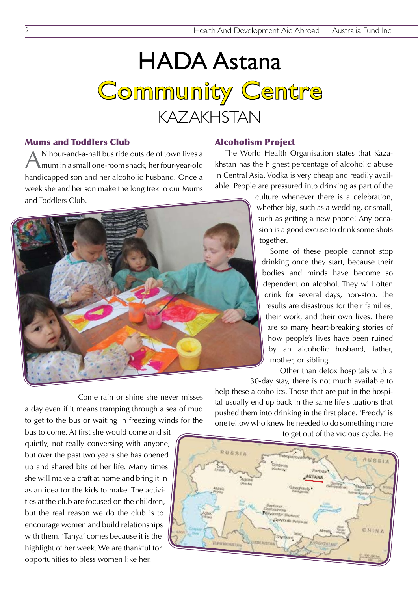# HADA Astana Community Centre KAZAKHSTAN

#### Mums and Toddlers Club

AN hour-and-a-half bus ride outside of town lives a mum in a small one-room shack, her four-year-old handicapped son and her alcoholic husband. Once a week she and her son make the long trek to our Mums and Toddlers Club.



The World Health Organisation states that Kazakhstan has the highest percentage of alcoholic abuse in Central Asia. Vodka is very cheap and readily available. People are pressured into drinking as part of the



culture whenever there is a celebration, whether big, such as a wedding, or small, such as getting a new phone! Any occasion is a good excuse to drink some shots together.

Some of these people cannot stop drinking once they start, because their bodies and minds have become so dependent on alcohol. They will often drink for several days, non-stop. The results are disastrous for their families, their work, and their own lives. There are so many heart-breaking stories of how people's lives have been ruined by an alcoholic husband, father, mother, or sibling.

Other than detox hospitals with a

Come rain or shine she never misses a day even if it means tramping through a sea of mud to get to the bus or waiting in freezing winds for the

bus to come. At first she would come and sit quietly, not really conversing with anyone, but over the past two years she has opened up and shared bits of her life. Many times she will make a craft at home and bring it in as an idea for the kids to make. The activities at the club are focused on the children, but the real reason we do the club is to encourage women and build relationships with them. 'Tanya' comes because it is the highlight of her week. We are thankful for opportunities to bless women like her.

30-day stay, there is not much available to help these alcoholics. Those that are put in the hospital usually end up back in the same life situations that pushed them into drinking in the first place. 'Freddy' is one fellow who knew he needed to do something more

to get out of the vicious cycle. He

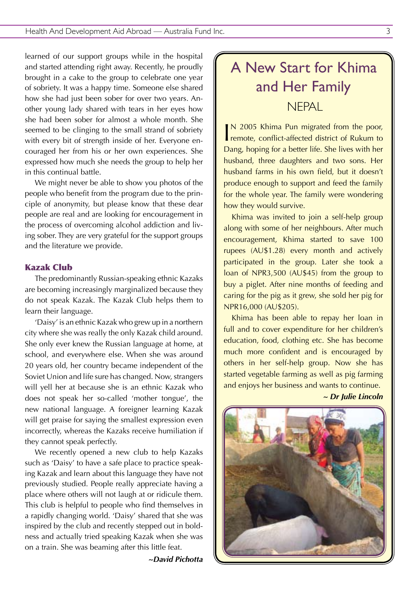learned of our support groups while in the hospital and started attending right away. Recently, he proudly brought in a cake to the group to celebrate one year of sobriety. It was a happy time. Someone else shared how she had just been sober for over two years. Another young lady shared with tears in her eyes how she had been sober for almost a whole month. She seemed to be clinging to the small strand of sobriety with every bit of strength inside of her. Everyone encouraged her from his or her own experiences. She expressed how much she needs the group to help her in this continual battle.

We might never be able to show you photos of the people who benefit from the program due to the principle of anonymity, but please know that these dear people are real and are looking for encouragement in the process of overcoming alcohol addiction and living sober. They are very grateful for the support groups and the literature we provide.

#### Kazak Club

The predominantly Russian-speaking ethnic Kazaks are becoming increasingly marginalized because they do not speak Kazak. The Kazak Club helps them to learn their language.

'Daisy' is an ethnic Kazak who grew up in a northern city where she was really the only Kazak child around. She only ever knew the Russian language at home, at school, and everywhere else. When she was around 20 years old, her country became independent of the Soviet Union and life sure has changed. Now, strangers will yell her at because she is an ethnic Kazak who does not speak her so-called 'mother tongue', the new national language. A foreigner learning Kazak will get praise for saying the smallest expression even incorrectly, whereas the Kazaks receive humiliation if they cannot speak perfectly.

We recently opened a new club to help Kazaks such as 'Daisy' to have a safe place to practice speaking Kazak and learn about this language they have not previously studied. People really appreciate having a place where others will not laugh at or ridicule them. This club is helpful to people who find themselves in a rapidly changing world. 'Daisy' shared that she was inspired by the club and recently stepped out in boldness and actually tried speaking Kazak when she was on a train. She was beaming after this little feat.

*~David Pichotta*

## A New Start for Khima and Her Family **NFPAL**

IN 2005 Khima Pun migrated from the poor,<br>remote, conflict-affected district of Rukum to N 2005 Khima Pun migrated from the poor, Dang, hoping for a better life. She lives with her husband, three daughters and two sons. Her husband farms in his own field, but it doesn't produce enough to support and feed the family for the whole year. The family were wondering how they would survive.

Khima was invited to join a self-help group along with some of her neighbours. After much encouragement, Khima started to save 100 rupees (AU\$1.28) every month and actively participated in the group. Later she took a loan of NPR3,500 (AU\$45) from the group to buy a piglet. After nine months of feeding and caring for the pig as it grew, she sold her pig for NPR16,000 (AU\$205).

Khima has been able to repay her loan in full and to cover expenditure for her children's education, food, clothing etc. She has become much more confident and is encouraged by others in her self-help group. Now she has started vegetable farming as well as pig farming and enjoys her business and wants to continue.

*~ Dr Julie Lincoln*

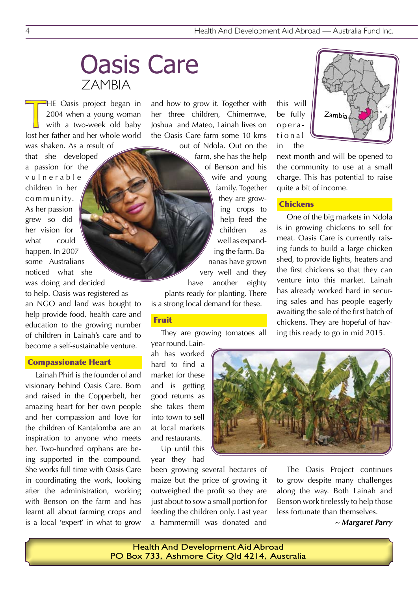## Oasis Care ZAMBIA

THE Oasis project began in<br>2004 when a young woman<br>with a two-week old baby<br>lost her father and her whole world HE Oasis project began in 2004 when a young woman with a two-week old baby

was shaken. As a result of that she developed a passion for the v u l n e r a b l e children in her community. As her passion grew so did her vision for what could happen. In 2007 some Australians noticed what she was doing and decided to help. Oasis was registered as an NGO and land was bought to help provide food, health care and education to the growing number of children in Lainah's care and to become a self-sustainable venture.

#### Compassionate Heart

Lainah Phirl is the founder of and visionary behind Oasis Care. Born and raised in the Copperbelt, her amazing heart for her own people and her compassion and love for the children of Kantalomba are an inspiration to anyone who meets her. Two-hundred orphans are being supported in the compound. She works full time with Oasis Care in coordinating the work, looking after the administration, working with Benson on the farm and has learnt all about farming crops and is a local 'expert' in what to grow

and how to grow it. Together with her three children, Chimemwe, Joshua and Mateo, Lainah lives on the Oasis Care farm some 10 kms

out of Ndola. Out on the farm, she has the help of Benson and his wife and young family. Together they are growing crops to help feed the children as well as expanding the farm. Bananas have grown very well and they have another eighty plants ready for planting. There is a strong local demand for these.

#### Fruit

They are growing tomatoes all year round. Lain-

ah has worked hard to find a market for these and is getting good returns as she takes them into town to sell at local markets and restaurants.

Up until this year they had

been growing several hectares of maize but the price of growing it outweighed the profit so they are just about to sow a small portion for feeding the children only. Last year a hammermill was donated and

this will be fully opera t i o n a l in the



next month and will be opened to the community to use at a small charge. This has potential to raise quite a bit of income.

#### **Chickens**

One of the big markets in Ndola is in growing chickens to sell for meat. Oasis Care is currently raising funds to build a large chicken shed, to provide lights, heaters and the first chickens so that they can venture into this market. Lainah has already worked hard in securing sales and has people eagerly awaiting the sale of the first batch of chickens. They are hopeful of having this ready to go in mid 2015.



The Oasis Project continues to grow despite many challenges along the way. Both Lainah and Benson work tirelessly to help those less fortunate than themselves.

*~ Margaret Parry*

Health And Development Aid Abroad PO Box 733, Ashmore City Qld 4214, Australia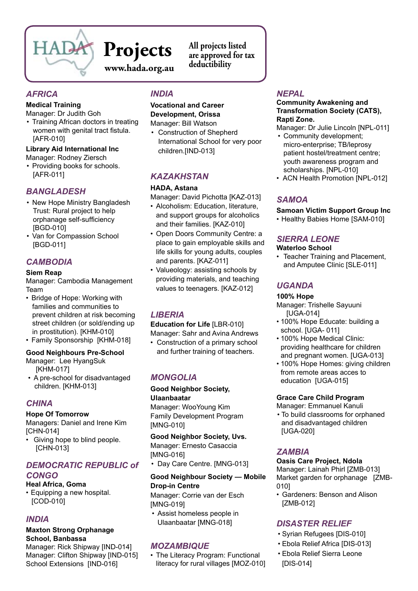

# **Projects**

**www.hada.org.au**

**All projects listed are approved for tax deductibility**

## *AFRICA*

#### **Medical Training**

Manager: Dr Judith Goh

• Training African doctors in treating women with genital tract fistula. [AFR-010]

#### **Library Aid International Inc** Manager: Rodney Ziersch

• Providing books for schools. [AFR-011]

## *BANGLADESH*

- New Hope Ministry Bangladesh Trust: Rural project to help orphanage self-sufficiency [BGD-010]
- Van for Compassion School [BGD-011]

## *CAMBODIA*

#### **Siem Reap**

Manager: Cambodia Management Team

- Bridge of Hope: Working with families and communities to prevent children at risk becoming street children (or sold/ending up in prostitution). [KHM-010]
- Family Sponsorship [KHM-018]

#### **Good Neighbours Pre-School**

- Manager: Lee HyangSuk [KHM-017]
- A pre-school for disadvantaged children. [KHM-013]

## *CHINA*

#### **Hope Of Tomorrow**

Managers: Daniel and Irene Kim [CHN-014]

• Giving hope to blind people. [CHN-013]

#### *DEMOCRATIC REPUBLIC of CONGO*

#### **Heal Africa, Goma**

• Equipping a new hospital. [COD-010]

## *INDIA*

#### **Maxton Strong Orphanage School, Banbassa**

Manager: Rick Shipway [IND-014] Manager: Clifton Shipway [IND-015] School Extensions [IND-016]

## *INDIA*

#### **Vocational and Career Development, Orissa**

Manager: Bill Watson

• Construction of Shepherd International School for very poor children.[IND-013]

## *KAZAKHSTAN*

#### **HADA, Astana**

Manager: David Pichotta [KAZ-013]

- • Alcoholism: Education, literature, and support groups for alcoholics and their families. [KAZ-010]
- Open Doors Community Centre: a place to gain employable skills and life skills for young adults, couples and parents. [KAZ-011]
- Valueology: assisting schools by providing materials, and teaching values to teenagers. [KAZ-012]

## *LIBERIA*

**Education for Life** [LBR-010] Manager: Sahr and Avina Andrews

• Construction of a primary school and further training of teachers.

## *MONGOLIA*

**Good Neighbor Society, Ulaanbaatar** Manager: WooYoung Kim Family Development Program [MNG-010]

**Good Neighbor Society, Uvs.**  Manager: Ernesto Casaccia [MNG-016]

• Day Care Centre. [MNG-013]

#### **Good Neighbour Society — Mobile Drop-in Centre**

Manager: Corrie van der Esch [MNG-019]

• Assist homeless people in Ulaanbaatar [MNG-018]

## *MOZAMBIQUE*

• The Literacy Program: Functional literacy for rural villages [MOZ-010]

## *NEPAL*

#### **Community Awakening and Transformation Society (CATS), Rapti Zone.**

Manager: Dr Julie Lincoln [NPL-011]

- Community development: micro-enterprise; TB/leprosy patient hostel/treatment centre; youth awareness program and scholarships. [NPL-010]
- ACN Health Promotion [NPL-012]

## *SAMOA*

**Samoan Victim Support Group Inc** • Healthy Babies Home [SAM-010]

## *SIERRA LEONE*

#### **Waterloo School**

• Teacher Training and Placement, and Amputee Clinic [SLE-011]

## *UGANDA*

#### **100% Hope**

Manager: Trishelle Sayuuni [UGA-014]

- 100% Hope Educate: building a school. [UGA- 011]
- 100% Hope Medical Clinic: providing healthcare for children and pregnant women. [UGA-013]
- 100% Hope Homes: giving children from remote areas acces to education [UGA-015]

#### **Grace Care Child Program**

Manager: Emmanuel Kanuli • To build classrooms for orphaned and disadvantaged children

[UGA-020]

## *ZAMBIA*

#### **Oasis Care Project, Ndola**

Manager: Lainah Phirl [ZMB-013] Market garden for orphanage [ZMB-010]

• Gardeners: Benson and Alison [ZMB-012]

## *DISASTER RELIEF*

- • Syrian Refugees [DIS-010]
- • Ebola Relief Africa [DIS-013]
- • Ebola Relief Sierra Leone [DIS-014]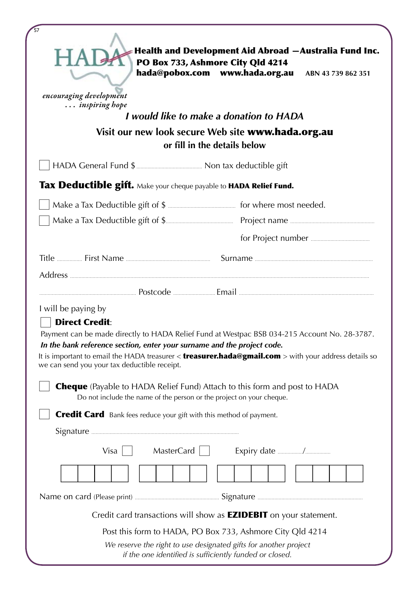| $\overline{57}$<br>encouraging development<br>inspiring hope                                                                                                            | Health and Development Aid Abroad -Australia Fund Inc.<br>PO Box 733, Ashmore City Qld 4214<br>hada@pobox.com www.hada.org.au ABN 43 739 862 351<br>I would like to make a donation to HADA<br>Visit our new look secure Web site www.hada.org.au<br>or fill in the details below |
|-------------------------------------------------------------------------------------------------------------------------------------------------------------------------|-----------------------------------------------------------------------------------------------------------------------------------------------------------------------------------------------------------------------------------------------------------------------------------|
|                                                                                                                                                                         |                                                                                                                                                                                                                                                                                   |
| Tax Deductible gift. Make your cheque payable to HADA Relief Fund.                                                                                                      |                                                                                                                                                                                                                                                                                   |
|                                                                                                                                                                         |                                                                                                                                                                                                                                                                                   |
|                                                                                                                                                                         |                                                                                                                                                                                                                                                                                   |
|                                                                                                                                                                         |                                                                                                                                                                                                                                                                                   |
|                                                                                                                                                                         |                                                                                                                                                                                                                                                                                   |
| I will be paying by<br><b>Direct Credit:</b><br>In the bank reference section, enter your surname and the project code.<br>we can send you your tax deductible receipt. | Payment can be made directly to HADA Relief Fund at Westpac BSB 034-215 Account No. 28-3787.<br>It is important to email the HADA treasurer $<$ treasurer.hada@gmail.com $>$ with your address details so                                                                         |
|                                                                                                                                                                         | <b>Cheque</b> (Payable to HADA Relief Fund) Attach to this form and post to HADA<br>Do not include the name of the person or the project on your cheque.                                                                                                                          |
| <b>Credit Card</b> Bank fees reduce your gift with this method of payment.                                                                                              |                                                                                                                                                                                                                                                                                   |
| $Visa$                                                                                                                                                                  | $MasterCard \mid \cdot$                                                                                                                                                                                                                                                           |
|                                                                                                                                                                         |                                                                                                                                                                                                                                                                                   |
|                                                                                                                                                                         |                                                                                                                                                                                                                                                                                   |
|                                                                                                                                                                         | Credit card transactions will show as <b>EZIDEBIT</b> on your statement.                                                                                                                                                                                                          |
|                                                                                                                                                                         | Post this form to HADA, PO Box 733, Ashmore City Qld 4214                                                                                                                                                                                                                         |
|                                                                                                                                                                         | We reserve the right to use designated gifts for another project<br>if the one identified is sufficiently funded or closed.                                                                                                                                                       |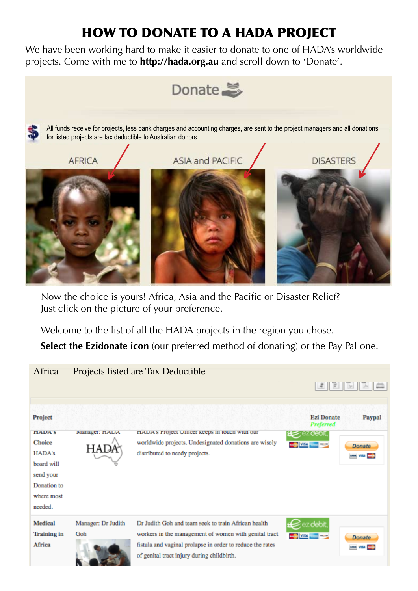## HOW TO DONATE TO A HADA PROJECT

We have been working hard to make it easier to donate to one of HADA's worldwide projects. Come with me to **http://hada.org.au** and scroll down to 'Donate'.



Now the choice is yours! Africa, Asia and the Pacific or Disaster Relief? Just click on the picture of your preference.

Welcome to the list of all the HADA projects in the region you chose.

**Select the Ezidonate icon** (our preferred method of donating) or the Pay Pal one.